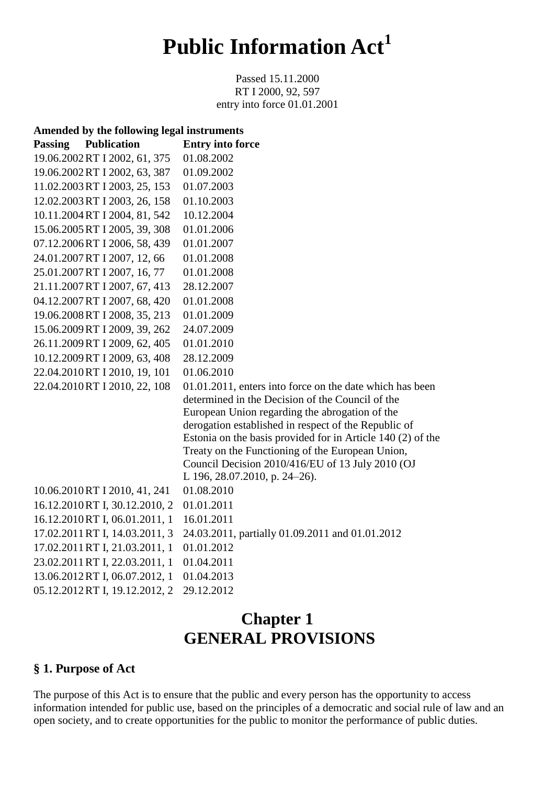# **Public Information Act<sup>1</sup>**

Passed 15.11.2000 RT I 2000, 92, 597 entry into force 01.01.2001

| Amended by the following legal instruments |                                                                                                      |
|--------------------------------------------|------------------------------------------------------------------------------------------------------|
| <b>Publication</b><br><b>Passing</b>       | <b>Entry into force</b>                                                                              |
| 19.06.2002 RT I 2002, 61, 375              | 01.08.2002                                                                                           |
| 19.06.2002 RT I 2002, 63, 387              | 01.09.2002                                                                                           |
| 11.02.2003 RT I 2003, 25, 153              | 01.07.2003                                                                                           |
| 12.02.2003 RT I 2003, 26, 158              | 01.10.2003                                                                                           |
| 10.11.2004 RT I 2004, 81, 542              | 10.12.2004                                                                                           |
| 15.06.2005 RT I 2005, 39, 308              | 01.01.2006                                                                                           |
| 07.12.2006 RT I 2006, 58, 439              | 01.01.2007                                                                                           |
| 24.01.2007 RT I 2007, 12, 66               | 01.01.2008                                                                                           |
| 25.01.2007 RT I 2007, 16, 77               | 01.01.2008                                                                                           |
| 21.11.2007 RT I 2007, 67, 413              | 28.12.2007                                                                                           |
| 04.12.2007 RT I 2007, 68, 420              | 01.01.2008                                                                                           |
| 19.06.2008 RT I 2008, 35, 213              | 01.01.2009                                                                                           |
| 15.06.2009 RT I 2009, 39, 262              | 24.07.2009                                                                                           |
| 26.11.2009 RT I 2009, 62, 405              | 01.01.2010                                                                                           |
| 10.12.2009 RT I 2009, 63, 408              | 28.12.2009                                                                                           |
| 22.04.2010RT I 2010, 19, 101               | 01.06.2010                                                                                           |
| 22.04.2010 RT I 2010, 22, 108              | 01.01.2011, enters into force on the date which has been                                             |
|                                            | determined in the Decision of the Council of the                                                     |
|                                            | European Union regarding the abrogation of the                                                       |
|                                            | derogation established in respect of the Republic of                                                 |
|                                            | Estonia on the basis provided for in Article 140 (2) of the                                          |
|                                            | Treaty on the Functioning of the European Union,<br>Council Decision 2010/416/EU of 13 July 2010 (OJ |
|                                            | L 196, 28.07.2010, p. 24-26).                                                                        |
| 10.06.2010RT I 2010, 41, 241               | 01.08.2010                                                                                           |
| 16.12.2010 RT I, 30.12.2010, 2             | 01.01.2011                                                                                           |
| 16.12.2010 RT I, 06.01.2011, 1             | 16.01.2011                                                                                           |
| 17.02.2011 RT I, 14.03.2011, 3             | 24.03.2011, partially 01.09.2011 and 01.01.2012                                                      |
| 17.02.2011 RT I, 21.03.2011, 1             | 01.01.2012                                                                                           |
| 23.02.2011 RT I, 22.03.2011, 1             | 01.04.2011                                                                                           |
| 13.06.2012 RT I, 06.07.2012, 1             | 01.04.2013                                                                                           |
| 05.12.2012 RT I, 19.12.2012, 2             | 29.12.2012                                                                                           |

# **Chapter 1 GENERAL PROVISIONS**

#### **§ 1. Purpose of Act**

The purpose of this Act is to ensure that the public and every person has the opportunity to access information intended for public use, based on the principles of a democratic and social rule of law and an open society, and to create opportunities for the public to monitor the performance of public duties.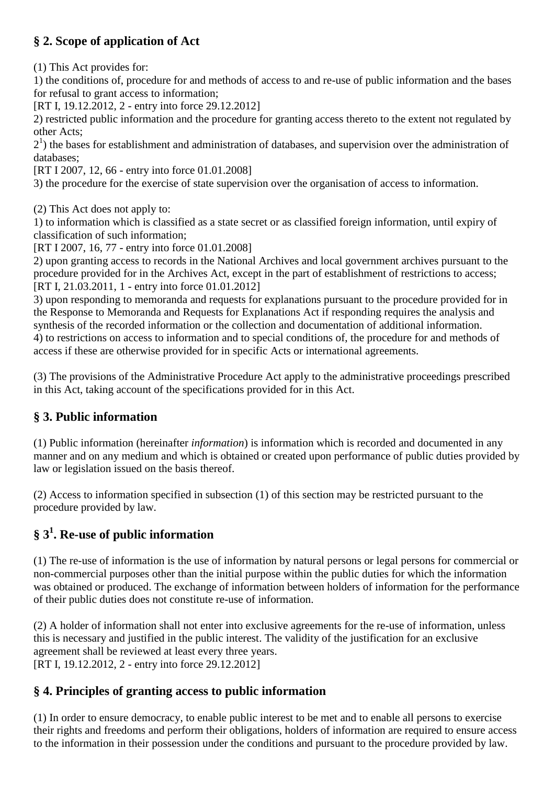# **§ 2. Scope of application of Act**

(1) This Act provides for:

1) the conditions of, procedure for and methods of access to and re-use of public information and the bases for refusal to grant access to information;

[RT I, 19.12.2012, 2 - entry into force 29.12.2012]

2) restricted public information and the procedure for granting access thereto to the extent not regulated by other Acts;

 $2<sup>1</sup>$ ) the bases for establishment and administration of databases, and supervision over the administration of databases;

[RT I 2007, 12, 66 - entry into force 01.01.2008]

3) the procedure for the exercise of state supervision over the organisation of access to information.

(2) This Act does not apply to:

1) to information which is classified as a state secret or as classified foreign information, until expiry of classification of such information;

[RT I 2007, 16, 77 - entry into force 01.01.2008]

2) upon granting access to records in the National Archives and local government archives pursuant to the procedure provided for in the Archives Act, except in the part of establishment of restrictions to access; [RT I, 21.03.2011, 1 - entry into force 01.01.2012]

3) upon responding to memoranda and requests for explanations pursuant to the procedure provided for in the Response to Memoranda and Requests for Explanations Act if responding requires the analysis and synthesis of the recorded information or the collection and documentation of additional information. 4) to restrictions on access to information and to special conditions of, the procedure for and methods of access if these are otherwise provided for in specific Acts or international agreements.

(3) The provisions of the Administrative Procedure Act apply to the administrative proceedings prescribed in this Act, taking account of the specifications provided for in this Act.

# **§ 3. Public information**

(1) Public information (hereinafter *information*) is information which is recorded and documented in any manner and on any medium and which is obtained or created upon performance of public duties provided by law or legislation issued on the basis thereof.

(2) Access to information specified in subsection (1) of this section may be restricted pursuant to the procedure provided by law.

# **§ 3<sup>1</sup> . Re-use of public information**

(1) The re-use of information is the use of information by natural persons or legal persons for commercial or non-commercial purposes other than the initial purpose within the public duties for which the information was obtained or produced. The exchange of information between holders of information for the performance of their public duties does not constitute re-use of information.

(2) A holder of information shall not enter into exclusive agreements for the re-use of information, unless this is necessary and justified in the public interest. The validity of the justification for an exclusive agreement shall be reviewed at least every three years. [RT I, 19.12.2012, 2 - entry into force 29.12.2012]

# **§ 4. Principles of granting access to public information**

(1) In order to ensure democracy, to enable public interest to be met and to enable all persons to exercise their rights and freedoms and perform their obligations, holders of information are required to ensure access to the information in their possession under the conditions and pursuant to the procedure provided by law.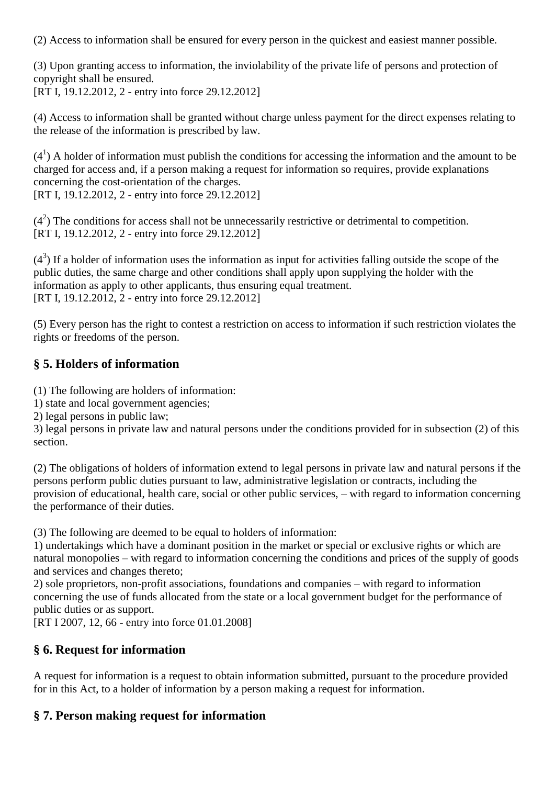(2) Access to information shall be ensured for every person in the quickest and easiest manner possible.

(3) Upon granting access to information, the inviolability of the private life of persons and protection of copyright shall be ensured. [RT I, 19.12.2012, 2 - entry into force 29.12.2012]

(4) Access to information shall be granted without charge unless payment for the direct expenses relating to the release of the information is prescribed by law.

 $(4<sup>1</sup>)$  A holder of information must publish the conditions for accessing the information and the amount to be charged for access and, if a person making a request for information so requires, provide explanations concerning the cost-orientation of the charges. [RT I, 19.12.2012, 2 - entry into force 29.12.2012]

 $(4<sup>2</sup>)$  The conditions for access shall not be unnecessarily restrictive or detrimental to competition. [RT I, 19.12.2012, 2 - entry into force 29.12.2012]

 $(4<sup>3</sup>)$  If a holder of information uses the information as input for activities falling outside the scope of the public duties, the same charge and other conditions shall apply upon supplying the holder with the information as apply to other applicants, thus ensuring equal treatment. [RT I, 19.12.2012, 2 - entry into force 29.12.2012]

(5) Every person has the right to contest a restriction on access to information if such restriction violates the rights or freedoms of the person.

#### **§ 5. Holders of information**

(1) The following are holders of information:

1) state and local government agencies;

2) legal persons in public law;

3) legal persons in private law and natural persons under the conditions provided for in subsection (2) of this section.

(2) The obligations of holders of information extend to legal persons in private law and natural persons if the persons perform public duties pursuant to law, administrative legislation or contracts, including the provision of educational, health care, social or other public services, – with regard to information concerning the performance of their duties.

(3) The following are deemed to be equal to holders of information:

1) undertakings which have a dominant position in the market or special or exclusive rights or which are natural monopolies – with regard to information concerning the conditions and prices of the supply of goods and services and changes thereto;

2) sole proprietors, non-profit associations, foundations and companies – with regard to information concerning the use of funds allocated from the state or a local government budget for the performance of public duties or as support.

[RT I 2007, 12, 66 - entry into force 01.01.2008]

#### **§ 6. Request for information**

A request for information is a request to obtain information submitted, pursuant to the procedure provided for in this Act, to a holder of information by a person making a request for information.

#### **§ 7. Person making request for information**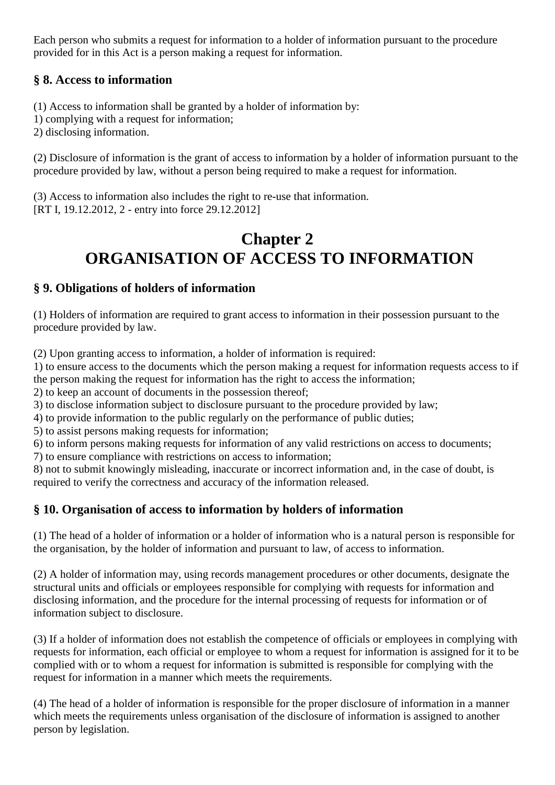Each person who submits a request for information to a holder of information pursuant to the procedure provided for in this Act is a person making a request for information.

### **§ 8. Access to information**

(1) Access to information shall be granted by a holder of information by: 1) complying with a request for information; 2) disclosing information.

(2) Disclosure of information is the grant of access to information by a holder of information pursuant to the procedure provided by law, without a person being required to make a request for information.

(3) Access to information also includes the right to re-use that information. [RT I, 19.12.2012, 2 - entry into force 29.12.2012]

# **Chapter 2 ORGANISATION OF ACCESS TO INFORMATION**

### **§ 9. Obligations of holders of information**

(1) Holders of information are required to grant access to information in their possession pursuant to the procedure provided by law.

(2) Upon granting access to information, a holder of information is required:

1) to ensure access to the documents which the person making a request for information requests access to if the person making the request for information has the right to access the information;

2) to keep an account of documents in the possession thereof;

3) to disclose information subject to disclosure pursuant to the procedure provided by law;

4) to provide information to the public regularly on the performance of public duties;

5) to assist persons making requests for information;

6) to inform persons making requests for information of any valid restrictions on access to documents;

7) to ensure compliance with restrictions on access to information;

8) not to submit knowingly misleading, inaccurate or incorrect information and, in the case of doubt, is required to verify the correctness and accuracy of the information released.

# **§ 10. Organisation of access to information by holders of information**

(1) The head of a holder of information or a holder of information who is a natural person is responsible for the organisation, by the holder of information and pursuant to law, of access to information.

(2) A holder of information may, using records management procedures or other documents, designate the structural units and officials or employees responsible for complying with requests for information and disclosing information, and the procedure for the internal processing of requests for information or of information subject to disclosure.

(3) If a holder of information does not establish the competence of officials or employees in complying with requests for information, each official or employee to whom a request for information is assigned for it to be complied with or to whom a request for information is submitted is responsible for complying with the request for information in a manner which meets the requirements.

(4) The head of a holder of information is responsible for the proper disclosure of information in a manner which meets the requirements unless organisation of the disclosure of information is assigned to another person by legislation.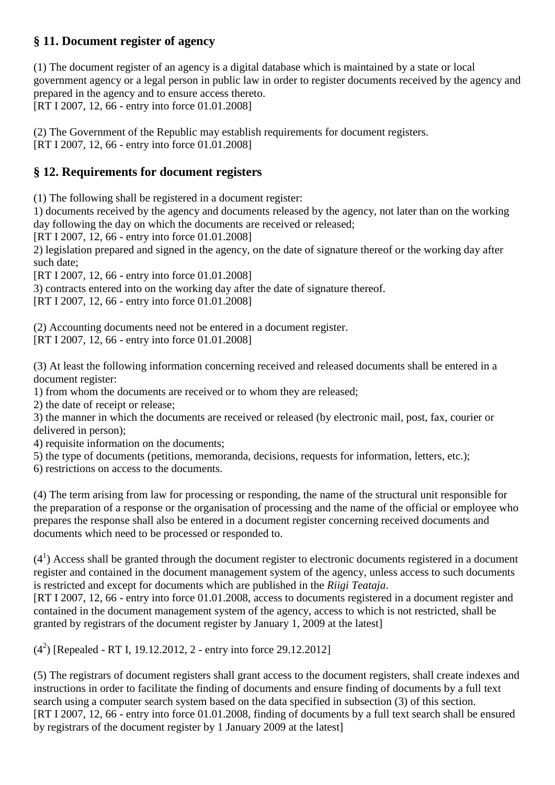#### **§ 11. Document register of agency**

(1) The document register of an agency is a digital database which is maintained by a state or local government agency or a legal person in public law in order to register documents received by the agency and prepared in the agency and to ensure access thereto. [RT I 2007, 12, 66 - entry into force 01.01.2008]

(2) The Government of the Republic may establish requirements for document registers. [RT I 2007, 12, 66 - entry into force 01.01.2008]

# **§ 12. Requirements for document registers**

(1) The following shall be registered in a document register:

1) documents received by the agency and documents released by the agency, not later than on the working day following the day on which the documents are received or released;

[RT I 2007, 12, 66 - entry into force 01.01.2008]

2) legislation prepared and signed in the agency, on the date of signature thereof or the working day after such date;

[RT I 2007, 12, 66 - entry into force 01.01.2008]

3) contracts entered into on the working day after the date of signature thereof.

[RT I 2007, 12, 66 - entry into force 01.01.2008]

(2) Accounting documents need not be entered in a document register. [RT I 2007, 12, 66 - entry into force 01.01.2008]

(3) At least the following information concerning received and released documents shall be entered in a document register:

1) from whom the documents are received or to whom they are released;

2) the date of receipt or release;

3) the manner in which the documents are received or released (by electronic mail, post, fax, courier or delivered in person);

4) requisite information on the documents;

5) the type of documents (petitions, memoranda, decisions, requests for information, letters, etc.);

6) restrictions on access to the documents.

(4) The term arising from law for processing or responding, the name of the structural unit responsible for the preparation of a response or the organisation of processing and the name of the official or employee who prepares the response shall also be entered in a document register concerning received documents and documents which need to be processed or responded to.

 $(4<sup>1</sup>)$  Access shall be granted through the document register to electronic documents registered in a document register and contained in the document management system of the agency, unless access to such documents is restricted and except for documents which are published in the *Riigi Teataja*.

[RT I 2007, 12, 66 - entry into force 01.01.2008, access to documents registered in a document register and contained in the document management system of the agency, access to which is not restricted, shall be granted by registrars of the document register by January 1, 2009 at the latest]

 $(4^2)$  [Repealed - RT I, 19.12.2012, 2 - entry into force 29.12.2012]

(5) The registrars of document registers shall grant access to the document registers, shall create indexes and instructions in order to facilitate the finding of documents and ensure finding of documents by a full text search using a computer search system based on the data specified in subsection (3) of this section. [RT I 2007, 12, 66 - entry into force 01.01.2008, finding of documents by a full text search shall be ensured by registrars of the document register by 1 January 2009 at the latest]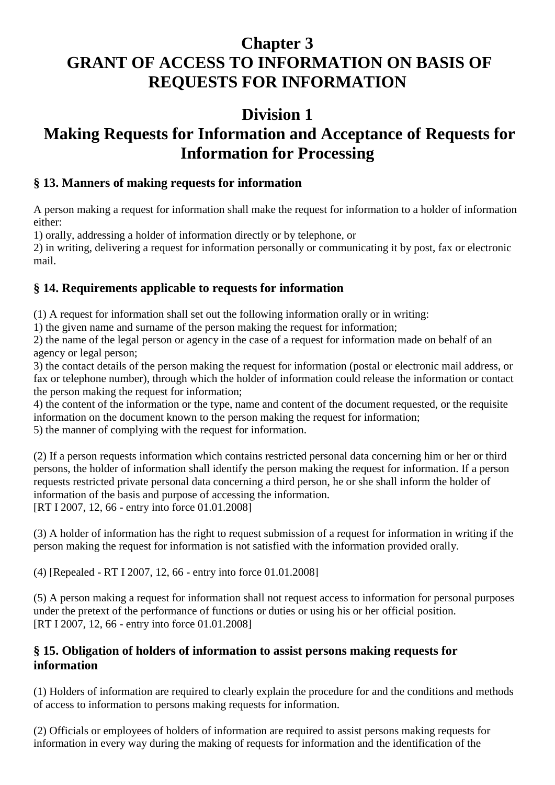# **Chapter 3 GRANT OF ACCESS TO INFORMATION ON BASIS OF REQUESTS FOR INFORMATION**

# **Division 1**

# **Making Requests for Information and Acceptance of Requests for Information for Processing**

#### **§ 13. Manners of making requests for information**

A person making a request for information shall make the request for information to a holder of information either:

1) orally, addressing a holder of information directly or by telephone, or

2) in writing, delivering a request for information personally or communicating it by post, fax or electronic mail.

### **§ 14. Requirements applicable to requests for information**

(1) A request for information shall set out the following information orally or in writing:

1) the given name and surname of the person making the request for information;

2) the name of the legal person or agency in the case of a request for information made on behalf of an agency or legal person;

3) the contact details of the person making the request for information (postal or electronic mail address, or fax or telephone number), through which the holder of information could release the information or contact the person making the request for information;

4) the content of the information or the type, name and content of the document requested, or the requisite information on the document known to the person making the request for information;

5) the manner of complying with the request for information.

(2) If a person requests information which contains restricted personal data concerning him or her or third persons, the holder of information shall identify the person making the request for information. If a person requests restricted private personal data concerning a third person, he or she shall inform the holder of information of the basis and purpose of accessing the information. [RT I 2007, 12, 66 - entry into force 01.01.2008]

(3) A holder of information has the right to request submission of a request for information in writing if the person making the request for information is not satisfied with the information provided orally.

(4) [Repealed - RT I 2007, 12, 66 - entry into force 01.01.2008]

(5) A person making a request for information shall not request access to information for personal purposes under the pretext of the performance of functions or duties or using his or her official position. [RT I 2007, 12, 66 - entry into force 01.01.2008]

#### **§ 15. Obligation of holders of information to assist persons making requests for information**

(1) Holders of information are required to clearly explain the procedure for and the conditions and methods of access to information to persons making requests for information.

(2) Officials or employees of holders of information are required to assist persons making requests for information in every way during the making of requests for information and the identification of the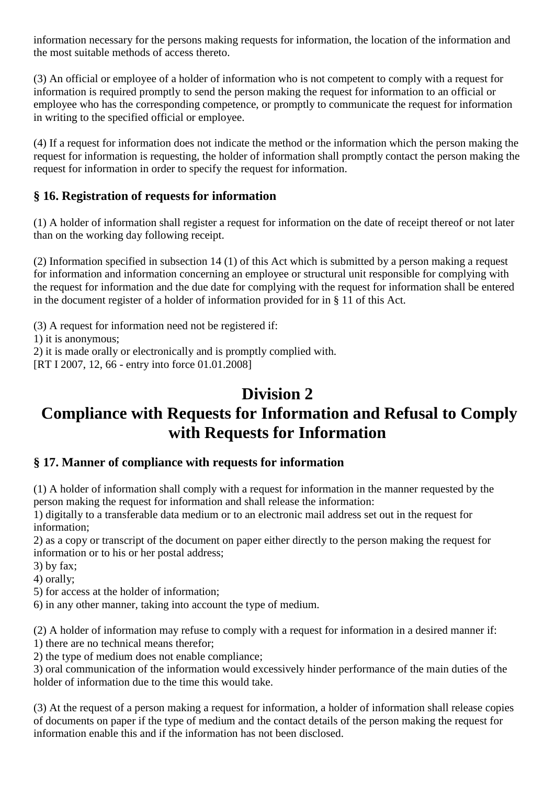information necessary for the persons making requests for information, the location of the information and the most suitable methods of access thereto.

(3) An official or employee of a holder of information who is not competent to comply with a request for information is required promptly to send the person making the request for information to an official or employee who has the corresponding competence, or promptly to communicate the request for information in writing to the specified official or employee.

(4) If a request for information does not indicate the method or the information which the person making the request for information is requesting, the holder of information shall promptly contact the person making the request for information in order to specify the request for information.

### **§ 16. Registration of requests for information**

(1) A holder of information shall register a request for information on the date of receipt thereof or not later than on the working day following receipt.

(2) Information specified in subsection 14 (1) of this Act which is submitted by a person making a request for information and information concerning an employee or structural unit responsible for complying with the request for information and the due date for complying with the request for information shall be entered in the document register of a holder of information provided for in § 11 of this Act.

(3) A request for information need not be registered if:

1) it is anonymous;

2) it is made orally or electronically and is promptly complied with.

[RT I 2007, 12, 66 - entry into force 01.01.2008]

# **Division 2**

# **Compliance with Requests for Information and Refusal to Comply with Requests for Information**

#### **§ 17. Manner of compliance with requests for information**

(1) A holder of information shall comply with a request for information in the manner requested by the person making the request for information and shall release the information:

1) digitally to a transferable data medium or to an electronic mail address set out in the request for information;

2) as a copy or transcript of the document on paper either directly to the person making the request for information or to his or her postal address;

3) by fax;

4) orally;

5) for access at the holder of information;

6) in any other manner, taking into account the type of medium.

(2) A holder of information may refuse to comply with a request for information in a desired manner if:

1) there are no technical means therefor;

2) the type of medium does not enable compliance;

3) oral communication of the information would excessively hinder performance of the main duties of the holder of information due to the time this would take.

(3) At the request of a person making a request for information, a holder of information shall release copies of documents on paper if the type of medium and the contact details of the person making the request for information enable this and if the information has not been disclosed.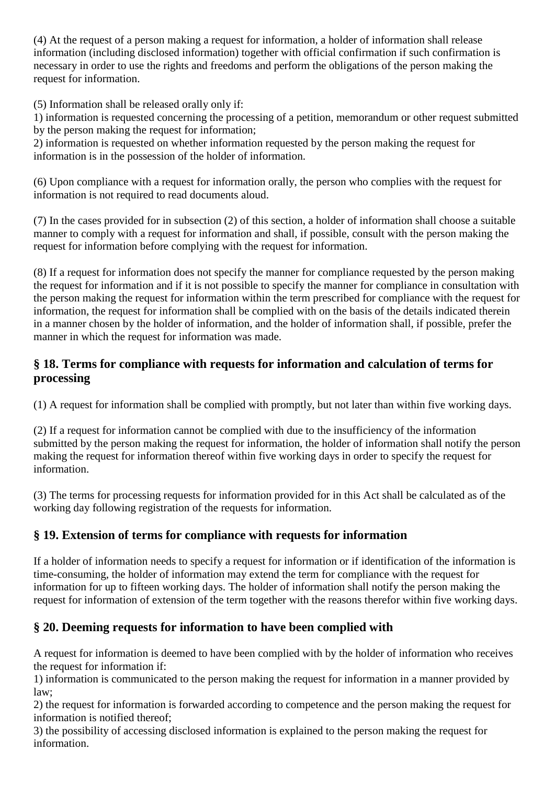(4) At the request of a person making a request for information, a holder of information shall release information (including disclosed information) together with official confirmation if such confirmation is necessary in order to use the rights and freedoms and perform the obligations of the person making the request for information.

(5) Information shall be released orally only if:

1) information is requested concerning the processing of a petition, memorandum or other request submitted by the person making the request for information;

2) information is requested on whether information requested by the person making the request for information is in the possession of the holder of information.

(6) Upon compliance with a request for information orally, the person who complies with the request for information is not required to read documents aloud.

(7) In the cases provided for in subsection (2) of this section, a holder of information shall choose a suitable manner to comply with a request for information and shall, if possible, consult with the person making the request for information before complying with the request for information.

(8) If a request for information does not specify the manner for compliance requested by the person making the request for information and if it is not possible to specify the manner for compliance in consultation with the person making the request for information within the term prescribed for compliance with the request for information, the request for information shall be complied with on the basis of the details indicated therein in a manner chosen by the holder of information, and the holder of information shall, if possible, prefer the manner in which the request for information was made.

### **§ 18. Terms for compliance with requests for information and calculation of terms for processing**

(1) A request for information shall be complied with promptly, but not later than within five working days.

(2) If a request for information cannot be complied with due to the insufficiency of the information submitted by the person making the request for information, the holder of information shall notify the person making the request for information thereof within five working days in order to specify the request for information.

(3) The terms for processing requests for information provided for in this Act shall be calculated as of the working day following registration of the requests for information.

# **§ 19. Extension of terms for compliance with requests for information**

If a holder of information needs to specify a request for information or if identification of the information is time-consuming, the holder of information may extend the term for compliance with the request for information for up to fifteen working days. The holder of information shall notify the person making the request for information of extension of the term together with the reasons therefor within five working days.

# **§ 20. Deeming requests for information to have been complied with**

A request for information is deemed to have been complied with by the holder of information who receives the request for information if:

1) information is communicated to the person making the request for information in a manner provided by law;

2) the request for information is forwarded according to competence and the person making the request for information is notified thereof;

3) the possibility of accessing disclosed information is explained to the person making the request for information.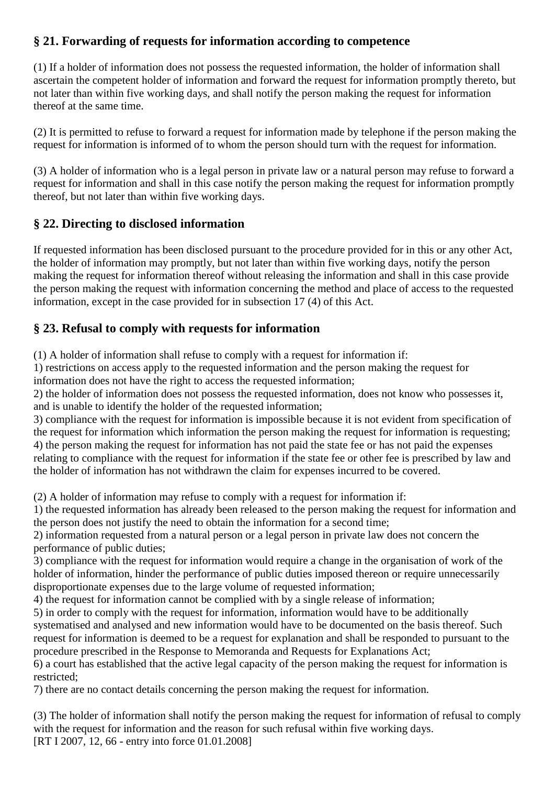# **§ 21. Forwarding of requests for information according to competence**

(1) If a holder of information does not possess the requested information, the holder of information shall ascertain the competent holder of information and forward the request for information promptly thereto, but not later than within five working days, and shall notify the person making the request for information thereof at the same time.

(2) It is permitted to refuse to forward a request for information made by telephone if the person making the request for information is informed of to whom the person should turn with the request for information.

(3) A holder of information who is a legal person in private law or a natural person may refuse to forward a request for information and shall in this case notify the person making the request for information promptly thereof, but not later than within five working days.

### **§ 22. Directing to disclosed information**

If requested information has been disclosed pursuant to the procedure provided for in this or any other Act, the holder of information may promptly, but not later than within five working days, notify the person making the request for information thereof without releasing the information and shall in this case provide the person making the request with information concerning the method and place of access to the requested information, except in the case provided for in subsection 17 (4) of this Act.

### **§ 23. Refusal to comply with requests for information**

(1) A holder of information shall refuse to comply with a request for information if:

1) restrictions on access apply to the requested information and the person making the request for information does not have the right to access the requested information;

2) the holder of information does not possess the requested information, does not know who possesses it, and is unable to identify the holder of the requested information;

3) compliance with the request for information is impossible because it is not evident from specification of the request for information which information the person making the request for information is requesting; 4) the person making the request for information has not paid the state fee or has not paid the expenses relating to compliance with the request for information if the state fee or other fee is prescribed by law and the holder of information has not withdrawn the claim for expenses incurred to be covered.

(2) A holder of information may refuse to comply with a request for information if:

1) the requested information has already been released to the person making the request for information and the person does not justify the need to obtain the information for a second time;

2) information requested from a natural person or a legal person in private law does not concern the performance of public duties;

3) compliance with the request for information would require a change in the organisation of work of the holder of information, hinder the performance of public duties imposed thereon or require unnecessarily disproportionate expenses due to the large volume of requested information;

4) the request for information cannot be complied with by a single release of information;

5) in order to comply with the request for information, information would have to be additionally

systematised and analysed and new information would have to be documented on the basis thereof. Such request for information is deemed to be a request for explanation and shall be responded to pursuant to the procedure prescribed in the Response to Memoranda and Requests for Explanations Act;

6) a court has established that the active legal capacity of the person making the request for information is restricted;

7) there are no contact details concerning the person making the request for information.

(3) The holder of information shall notify the person making the request for information of refusal to comply with the request for information and the reason for such refusal within five working days. [RT I 2007, 12, 66 - entry into force 01.01.2008]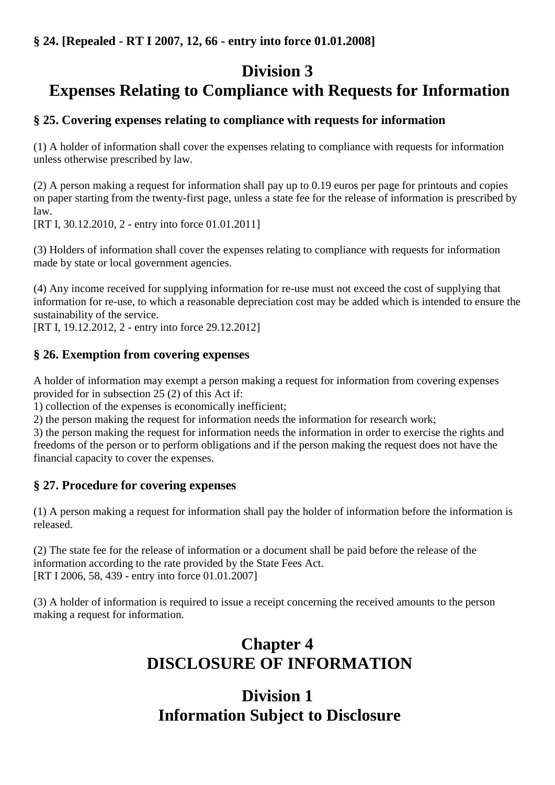# **Division 3 Expenses Relating to Compliance with Requests for Information**

### **§ 25. Covering expenses relating to compliance with requests for information**

(1) A holder of information shall cover the expenses relating to compliance with requests for information unless otherwise prescribed by law.

(2) A person making a request for information shall pay up to 0.19 euros per page for printouts and copies on paper starting from the twenty-first page, unless a state fee for the release of information is prescribed by law.

[RT I, 30.12.2010, 2 - entry into force 01.01.2011]

(3) Holders of information shall cover the expenses relating to compliance with requests for information made by state or local government agencies.

(4) Any income received for supplying information for re-use must not exceed the cost of supplying that information for re-use, to which a reasonable depreciation cost may be added which is intended to ensure the sustainability of the service.

[RT I, 19.12.2012, 2 - entry into force 29.12.2012]

#### **§ 26. Exemption from covering expenses**

A holder of information may exempt a person making a request for information from covering expenses provided for in subsection 25 (2) of this Act if:

1) collection of the expenses is economically inefficient;

2) the person making the request for information needs the information for research work;

3) the person making the request for information needs the information in order to exercise the rights and freedoms of the person or to perform obligations and if the person making the request does not have the financial capacity to cover the expenses.

#### **§ 27. Procedure for covering expenses**

(1) A person making a request for information shall pay the holder of information before the information is released.

(2) The state fee for the release of information or a document shall be paid before the release of the information according to the rate provided by the State Fees Act. [RT I 2006, 58, 439 - entry into force 01.01.2007]

(3) A holder of information is required to issue a receipt concerning the received amounts to the person making a request for information.

# **Chapter 4 DISCLOSURE OF INFORMATION**

# **Division 1 Information Subject to Disclosure**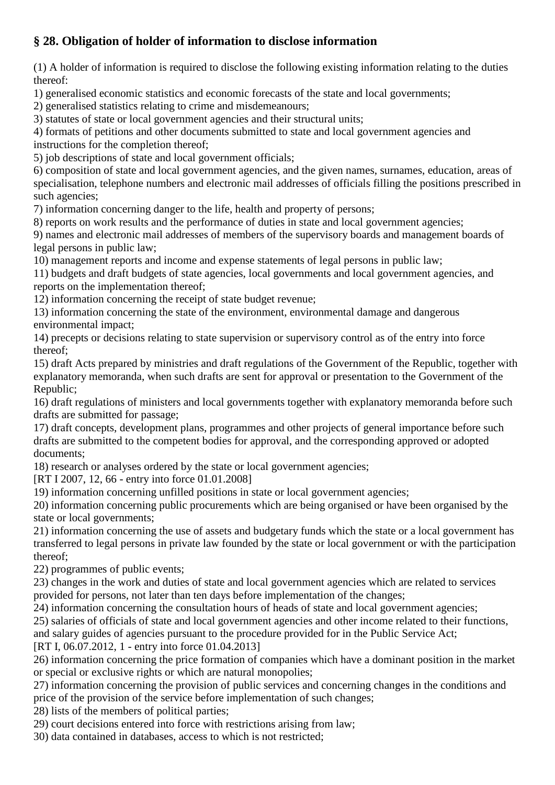# **§ 28. Obligation of holder of information to disclose information**

(1) A holder of information is required to disclose the following existing information relating to the duties thereof:

1) generalised economic statistics and economic forecasts of the state and local governments;

2) generalised statistics relating to crime and misdemeanours;

3) statutes of state or local government agencies and their structural units;

4) formats of petitions and other documents submitted to state and local government agencies and instructions for the completion thereof;

5) job descriptions of state and local government officials;

6) composition of state and local government agencies, and the given names, surnames, education, areas of specialisation, telephone numbers and electronic mail addresses of officials filling the positions prescribed in such agencies;

7) information concerning danger to the life, health and property of persons;

8) reports on work results and the performance of duties in state and local government agencies;

9) names and electronic mail addresses of members of the supervisory boards and management boards of legal persons in public law;

10) management reports and income and expense statements of legal persons in public law;

11) budgets and draft budgets of state agencies, local governments and local government agencies, and reports on the implementation thereof;

12) information concerning the receipt of state budget revenue;

13) information concerning the state of the environment, environmental damage and dangerous environmental impact;

14) precepts or decisions relating to state supervision or supervisory control as of the entry into force thereof;

15) draft Acts prepared by ministries and draft regulations of the Government of the Republic, together with explanatory memoranda, when such drafts are sent for approval or presentation to the Government of the Republic;

16) draft regulations of ministers and local governments together with explanatory memoranda before such drafts are submitted for passage;

17) draft concepts, development plans, programmes and other projects of general importance before such drafts are submitted to the competent bodies for approval, and the corresponding approved or adopted documents;

18) research or analyses ordered by the state or local government agencies;

[RT I 2007, 12, 66 - entry into force 01.01.2008]

19) information concerning unfilled positions in state or local government agencies;

20) information concerning public procurements which are being organised or have been organised by the state or local governments;

21) information concerning the use of assets and budgetary funds which the state or a local government has transferred to legal persons in private law founded by the state or local government or with the participation thereof;

22) programmes of public events;

23) changes in the work and duties of state and local government agencies which are related to services provided for persons, not later than ten days before implementation of the changes;

24) information concerning the consultation hours of heads of state and local government agencies;

25) salaries of officials of state and local government agencies and other income related to their functions,

and salary guides of agencies pursuant to the procedure provided for in the Public Service Act;

[RT I, 06.07.2012, 1 - entry into force 01.04.2013]

26) information concerning the price formation of companies which have a dominant position in the market or special or exclusive rights or which are natural monopolies;

27) information concerning the provision of public services and concerning changes in the conditions and price of the provision of the service before implementation of such changes;

28) lists of the members of political parties;

29) court decisions entered into force with restrictions arising from law;

30) data contained in databases, access to which is not restricted;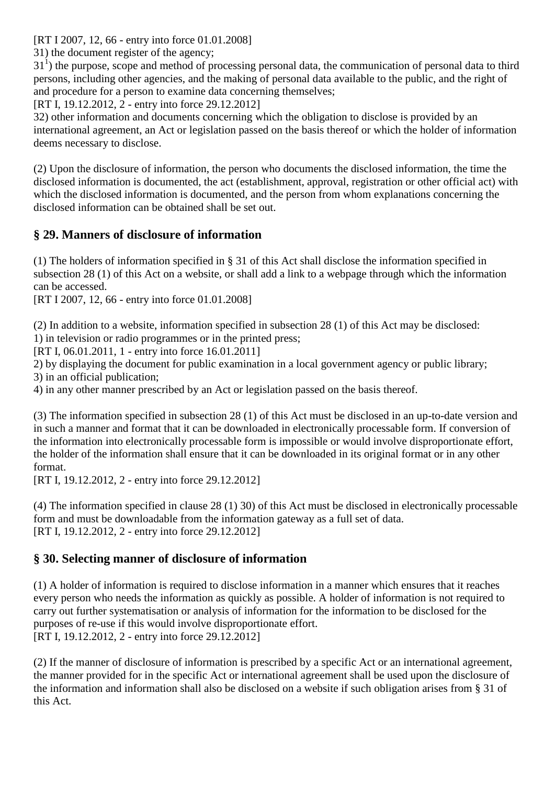[RT I 2007, 12, 66 - entry into force 01.01.2008]

31) the document register of the agency;

31<sup>1</sup>) the purpose, scope and method of processing personal data, the communication of personal data to third persons, including other agencies, and the making of personal data available to the public, and the right of and procedure for a person to examine data concerning themselves;

[RT I, 19.12.2012, 2 - entry into force 29.12.2012]

32) other information and documents concerning which the obligation to disclose is provided by an international agreement, an Act or legislation passed on the basis thereof or which the holder of information deems necessary to disclose.

(2) Upon the disclosure of information, the person who documents the disclosed information, the time the disclosed information is documented, the act (establishment, approval, registration or other official act) with which the disclosed information is documented, and the person from whom explanations concerning the disclosed information can be obtained shall be set out.

### **§ 29. Manners of disclosure of information**

(1) The holders of information specified in § 31 of this Act shall disclose the information specified in subsection 28 (1) of this Act on a website, or shall add a link to a webpage through which the information can be accessed.

[RT I 2007, 12, 66 - entry into force 01.01.2008]

(2) In addition to a website, information specified in subsection 28 (1) of this Act may be disclosed:

1) in television or radio programmes or in the printed press;

[RT I, 06.01.2011, 1 - entry into force 16.01.2011]

2) by displaying the document for public examination in a local government agency or public library; 3) in an official publication;

4) in any other manner prescribed by an Act or legislation passed on the basis thereof.

(3) The information specified in subsection 28 (1) of this Act must be disclosed in an up-to-date version and in such a manner and format that it can be downloaded in electronically processable form. If conversion of the information into electronically processable form is impossible or would involve disproportionate effort, the holder of the information shall ensure that it can be downloaded in its original format or in any other format.

[RT I, 19.12.2012, 2 - entry into force 29.12.2012]

(4) The information specified in clause 28 (1) 30) of this Act must be disclosed in electronically processable form and must be downloadable from the information gateway as a full set of data. [RT I, 19.12.2012, 2 - entry into force 29.12.2012]

#### **§ 30. Selecting manner of disclosure of information**

(1) A holder of information is required to disclose information in a manner which ensures that it reaches every person who needs the information as quickly as possible. A holder of information is not required to carry out further systematisation or analysis of information for the information to be disclosed for the purposes of re-use if this would involve disproportionate effort. [RT I, 19.12.2012, 2 - entry into force 29.12.2012]

(2) If the manner of disclosure of information is prescribed by a specific Act or an international agreement, the manner provided for in the specific Act or international agreement shall be used upon the disclosure of the information and information shall also be disclosed on a website if such obligation arises from § 31 of this Act.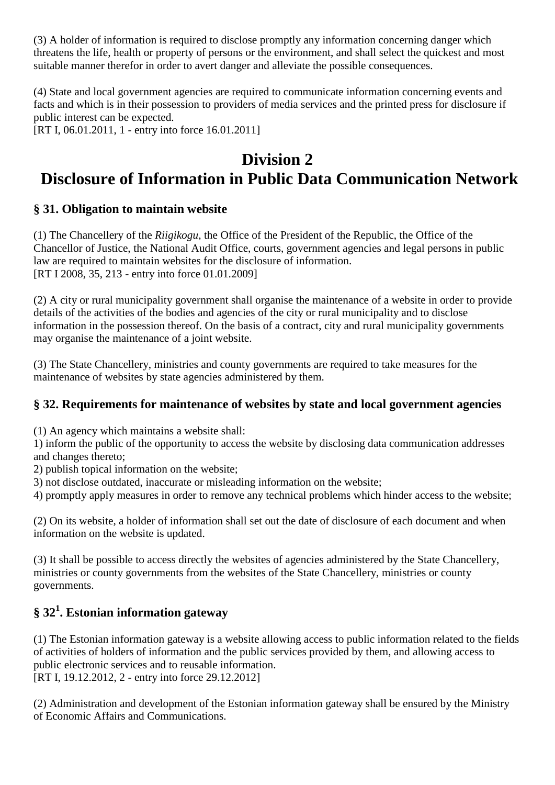(3) A holder of information is required to disclose promptly any information concerning danger which threatens the life, health or property of persons or the environment, and shall select the quickest and most suitable manner therefor in order to avert danger and alleviate the possible consequences.

(4) State and local government agencies are required to communicate information concerning events and facts and which is in their possession to providers of media services and the printed press for disclosure if public interest can be expected.

[RT I, 06.01.2011, 1 - entry into force 16.01.2011]

# **Division 2 Disclosure of Information in Public Data Communication Network**

### **§ 31. Obligation to maintain website**

(1) The Chancellery of the *Riigikogu*, the Office of the President of the Republic, the Office of the Chancellor of Justice, the National Audit Office, courts, government agencies and legal persons in public law are required to maintain websites for the disclosure of information. [RT I 2008, 35, 213 - entry into force 01.01.2009]

(2) A city or rural municipality government shall organise the maintenance of a website in order to provide details of the activities of the bodies and agencies of the city or rural municipality and to disclose information in the possession thereof. On the basis of a contract, city and rural municipality governments may organise the maintenance of a joint website.

(3) The State Chancellery, ministries and county governments are required to take measures for the maintenance of websites by state agencies administered by them.

#### **§ 32. Requirements for maintenance of websites by state and local government agencies**

(1) An agency which maintains a website shall:

1) inform the public of the opportunity to access the website by disclosing data communication addresses and changes thereto;

2) publish topical information on the website;

3) not disclose outdated, inaccurate or misleading information on the website;

4) promptly apply measures in order to remove any technical problems which hinder access to the website;

(2) On its website, a holder of information shall set out the date of disclosure of each document and when information on the website is updated.

(3) It shall be possible to access directly the websites of agencies administered by the State Chancellery, ministries or county governments from the websites of the State Chancellery, ministries or county governments.

# **§ 32<sup>1</sup> . Estonian information gateway**

(1) The Estonian information gateway is a website allowing access to public information related to the fields of activities of holders of information and the public services provided by them, and allowing access to public electronic services and to reusable information.

[RT I, 19.12.2012, 2 - entry into force 29.12.2012]

(2) Administration and development of the Estonian information gateway shall be ensured by the Ministry of Economic Affairs and Communications.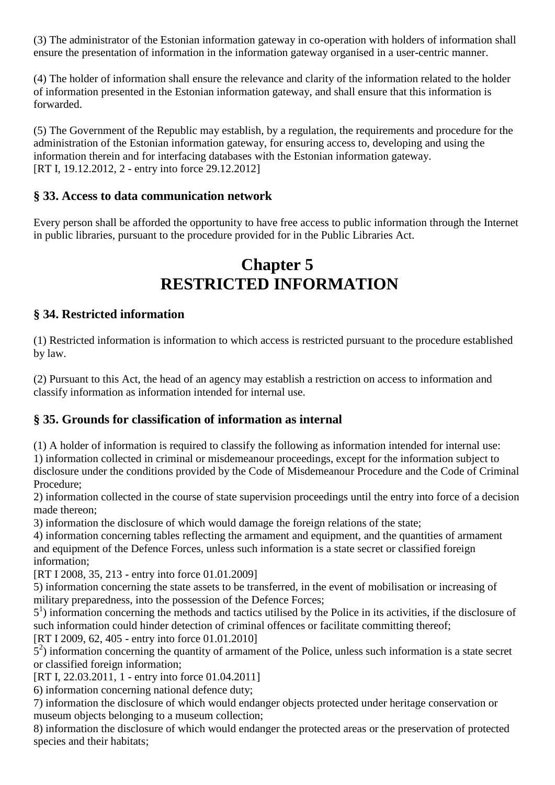(3) The administrator of the Estonian information gateway in co-operation with holders of information shall ensure the presentation of information in the information gateway organised in a user-centric manner.

(4) The holder of information shall ensure the relevance and clarity of the information related to the holder of information presented in the Estonian information gateway, and shall ensure that this information is forwarded.

(5) The Government of the Republic may establish, by a regulation, the requirements and procedure for the administration of the Estonian information gateway, for ensuring access to, developing and using the information therein and for interfacing databases with the Estonian information gateway. [RT I, 19.12.2012, 2 - entry into force 29.12.2012]

#### **§ 33. Access to data communication network**

Every person shall be afforded the opportunity to have free access to public information through the Internet in public libraries, pursuant to the procedure provided for in the Public Libraries Act.

# **Chapter 5 RESTRICTED INFORMATION**

#### **§ 34. Restricted information**

(1) Restricted information is information to which access is restricted pursuant to the procedure established by law.

(2) Pursuant to this Act, the head of an agency may establish a restriction on access to information and classify information as information intended for internal use.

#### **§ 35. Grounds for classification of information as internal**

(1) A holder of information is required to classify the following as information intended for internal use: 1) information collected in criminal or misdemeanour proceedings, except for the information subject to disclosure under the conditions provided by the Code of Misdemeanour Procedure and the Code of Criminal Procedure;

2) information collected in the course of state supervision proceedings until the entry into force of a decision made thereon;

3) information the disclosure of which would damage the foreign relations of the state;

4) information concerning tables reflecting the armament and equipment, and the quantities of armament and equipment of the Defence Forces, unless such information is a state secret or classified foreign information;

[RT I 2008, 35, 213 - entry into force 01.01.2009]

5) information concerning the state assets to be transferred, in the event of mobilisation or increasing of military preparedness, into the possession of the Defence Forces;

5<sup>1</sup>) information concerning the methods and tactics utilised by the Police in its activities, if the disclosure of such information could hinder detection of criminal offences or facilitate committing thereof;

[RT I 2009, 62, 405 - entry into force 01.01.2010]

5 2 ) information concerning the quantity of armament of the Police, unless such information is a state secret or classified foreign information;

[RT I, 22.03.2011, 1 - entry into force 01.04.2011]

6) information concerning national defence duty;

7) information the disclosure of which would endanger objects protected under heritage conservation or museum objects belonging to a museum collection;

8) information the disclosure of which would endanger the protected areas or the preservation of protected species and their habitats;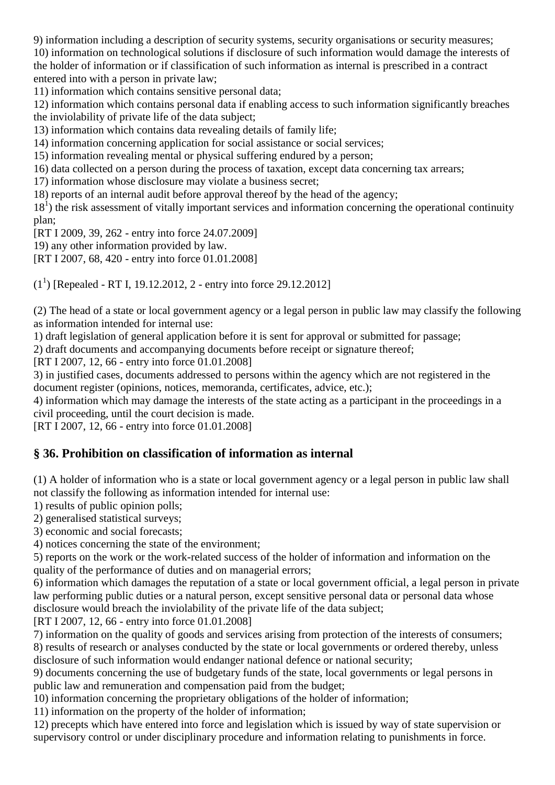9) information including a description of security systems, security organisations or security measures;

10) information on technological solutions if disclosure of such information would damage the interests of the holder of information or if classification of such information as internal is prescribed in a contract entered into with a person in private law;

11) information which contains sensitive personal data;

12) information which contains personal data if enabling access to such information significantly breaches the inviolability of private life of the data subject;

13) information which contains data revealing details of family life;

14) information concerning application for social assistance or social services;

15) information revealing mental or physical suffering endured by a person;

16) data collected on a person during the process of taxation, except data concerning tax arrears;

17) information whose disclosure may violate a business secret;

18) reports of an internal audit before approval thereof by the head of the agency;

18<sup>1</sup>) the risk assessment of vitally important services and information concerning the operational continuity plan;

[RT I 2009, 39, 262 - entry into force 24.07.2009]

19) any other information provided by law.

[RT I 2007, 68, 420 - entry into force 01.01.2008]

 $(1^1)$  [Repealed - RT I, 19.12.2012, 2 - entry into force 29.12.2012]

(2) The head of a state or local government agency or a legal person in public law may classify the following as information intended for internal use:

1) draft legislation of general application before it is sent for approval or submitted for passage;

2) draft documents and accompanying documents before receipt or signature thereof;

[RT I 2007, 12, 66 - entry into force 01.01.2008]

3) in justified cases, documents addressed to persons within the agency which are not registered in the document register (opinions, notices, memoranda, certificates, advice, etc.);

4) information which may damage the interests of the state acting as a participant in the proceedings in a civil proceeding, until the court decision is made.

[RT I 2007, 12, 66 - entry into force 01.01.2008]

#### **§ 36. Prohibition on classification of information as internal**

(1) A holder of information who is a state or local government agency or a legal person in public law shall not classify the following as information intended for internal use:

1) results of public opinion polls;

2) generalised statistical surveys;

3) economic and social forecasts;

4) notices concerning the state of the environment;

5) reports on the work or the work-related success of the holder of information and information on the quality of the performance of duties and on managerial errors;

6) information which damages the reputation of a state or local government official, a legal person in private law performing public duties or a natural person, except sensitive personal data or personal data whose disclosure would breach the inviolability of the private life of the data subject;

[RT I 2007, 12, 66 - entry into force 01.01.2008]

7) information on the quality of goods and services arising from protection of the interests of consumers; 8) results of research or analyses conducted by the state or local governments or ordered thereby, unless disclosure of such information would endanger national defence or national security;

9) documents concerning the use of budgetary funds of the state, local governments or legal persons in public law and remuneration and compensation paid from the budget;

10) information concerning the proprietary obligations of the holder of information;

11) information on the property of the holder of information;

12) precepts which have entered into force and legislation which is issued by way of state supervision or supervisory control or under disciplinary procedure and information relating to punishments in force.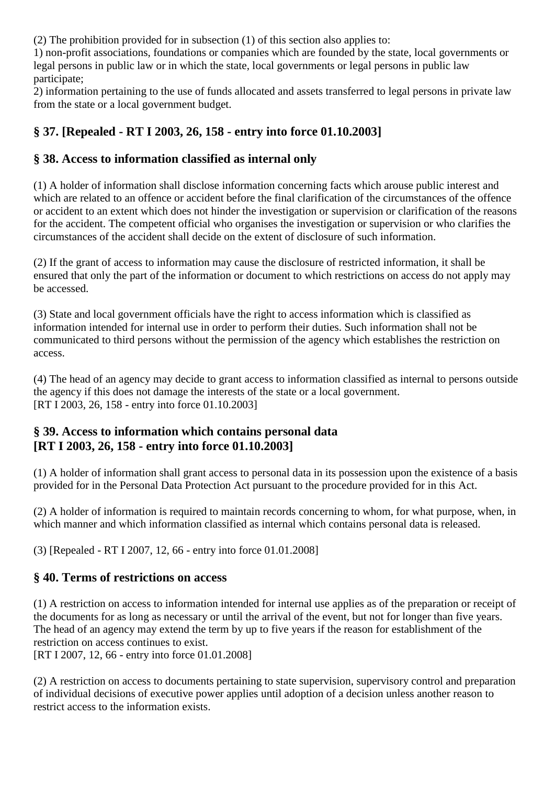(2) The prohibition provided for in subsection (1) of this section also applies to:

1) non-profit associations, foundations or companies which are founded by the state, local governments or legal persons in public law or in which the state, local governments or legal persons in public law participate;

2) information pertaining to the use of funds allocated and assets transferred to legal persons in private law from the state or a local government budget.

# **§ 37. [Repealed - RT I 2003, 26, 158 - entry into force 01.10.2003]**

#### **§ 38. Access to information classified as internal only**

(1) A holder of information shall disclose information concerning facts which arouse public interest and which are related to an offence or accident before the final clarification of the circumstances of the offence or accident to an extent which does not hinder the investigation or supervision or clarification of the reasons for the accident. The competent official who organises the investigation or supervision or who clarifies the circumstances of the accident shall decide on the extent of disclosure of such information.

(2) If the grant of access to information may cause the disclosure of restricted information, it shall be ensured that only the part of the information or document to which restrictions on access do not apply may be accessed.

(3) State and local government officials have the right to access information which is classified as information intended for internal use in order to perform their duties. Such information shall not be communicated to third persons without the permission of the agency which establishes the restriction on access.

(4) The head of an agency may decide to grant access to information classified as internal to persons outside the agency if this does not damage the interests of the state or a local government. [RT I 2003, 26, 158 - entry into force 01.10.2003]

#### **§ 39. Access to information which contains personal data [RT I 2003, 26, 158 - entry into force 01.10.2003]**

(1) A holder of information shall grant access to personal data in its possession upon the existence of a basis provided for in the Personal Data Protection Act pursuant to the procedure provided for in this Act.

(2) A holder of information is required to maintain records concerning to whom, for what purpose, when, in which manner and which information classified as internal which contains personal data is released.

(3) [Repealed - RT I 2007, 12, 66 - entry into force 01.01.2008]

#### **§ 40. Terms of restrictions on access**

(1) A restriction on access to information intended for internal use applies as of the preparation or receipt of the documents for as long as necessary or until the arrival of the event, but not for longer than five years. The head of an agency may extend the term by up to five years if the reason for establishment of the restriction on access continues to exist.

[RT I 2007, 12, 66 - entry into force 01.01.2008]

(2) A restriction on access to documents pertaining to state supervision, supervisory control and preparation of individual decisions of executive power applies until adoption of a decision unless another reason to restrict access to the information exists.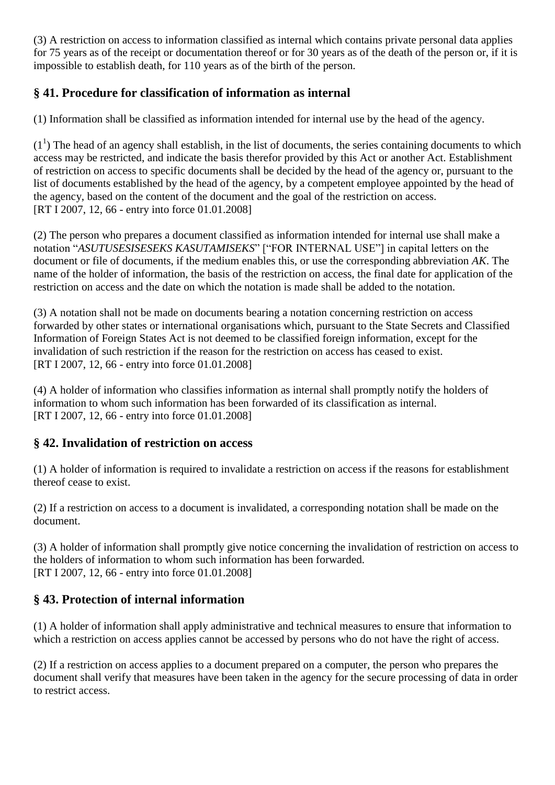(3) A restriction on access to information classified as internal which contains private personal data applies for 75 years as of the receipt or documentation thereof or for 30 years as of the death of the person or, if it is impossible to establish death, for 110 years as of the birth of the person.

### **§ 41. Procedure for classification of information as internal**

(1) Information shall be classified as information intended for internal use by the head of the agency.

 $(1<sup>1</sup>)$  The head of an agency shall establish, in the list of documents, the series containing documents to which access may be restricted, and indicate the basis therefor provided by this Act or another Act. Establishment of restriction on access to specific documents shall be decided by the head of the agency or, pursuant to the list of documents established by the head of the agency, by a competent employee appointed by the head of the agency, based on the content of the document and the goal of the restriction on access. [RT I 2007, 12, 66 - entry into force 01.01.2008]

(2) The person who prepares a document classified as information intended for internal use shall make a notation "*ASUTUSESISESEKS KASUTAMISEKS*" ["FOR INTERNAL USE"] in capital letters on the document or file of documents, if the medium enables this, or use the corresponding abbreviation *AK*. The name of the holder of information, the basis of the restriction on access, the final date for application of the restriction on access and the date on which the notation is made shall be added to the notation.

(3) A notation shall not be made on documents bearing a notation concerning restriction on access forwarded by other states or international organisations which, pursuant to the State Secrets and Classified Information of Foreign States Act is not deemed to be classified foreign information, except for the invalidation of such restriction if the reason for the restriction on access has ceased to exist. [RT I 2007, 12, 66 - entry into force 01.01.2008]

(4) A holder of information who classifies information as internal shall promptly notify the holders of information to whom such information has been forwarded of its classification as internal. [RT I 2007, 12, 66 - entry into force 01.01.2008]

#### **§ 42. Invalidation of restriction on access**

(1) A holder of information is required to invalidate a restriction on access if the reasons for establishment thereof cease to exist.

(2) If a restriction on access to a document is invalidated, a corresponding notation shall be made on the document.

(3) A holder of information shall promptly give notice concerning the invalidation of restriction on access to the holders of information to whom such information has been forwarded. [RT I 2007, 12, 66 - entry into force 01.01.2008]

# **§ 43. Protection of internal information**

(1) A holder of information shall apply administrative and technical measures to ensure that information to which a restriction on access applies cannot be accessed by persons who do not have the right of access.

(2) If a restriction on access applies to a document prepared on a computer, the person who prepares the document shall verify that measures have been taken in the agency for the secure processing of data in order to restrict access.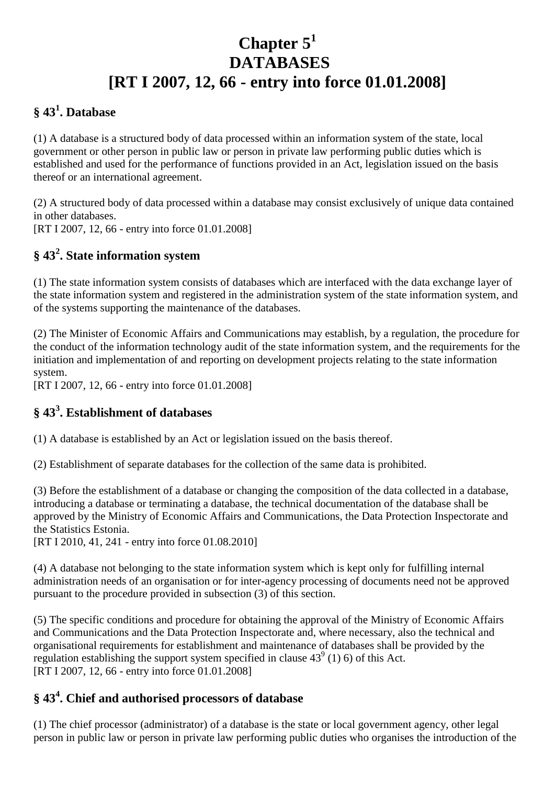# **Chapter 5<sup>1</sup> DATABASES [RT I 2007, 12, 66 - entry into force 01.01.2008]**

### **§ 43<sup>1</sup> . Database**

(1) A database is a structured body of data processed within an information system of the state, local government or other person in public law or person in private law performing public duties which is established and used for the performance of functions provided in an Act, legislation issued on the basis thereof or an international agreement.

(2) A structured body of data processed within a database may consist exclusively of unique data contained in other databases. [RT I 2007, 12, 66 - entry into force 01.01.2008]

# **§ 43<sup>2</sup> . State information system**

(1) The state information system consists of databases which are interfaced with the data exchange layer of the state information system and registered in the administration system of the state information system, and of the systems supporting the maintenance of the databases.

(2) The Minister of Economic Affairs and Communications may establish, by a regulation, the procedure for the conduct of the information technology audit of the state information system, and the requirements for the initiation and implementation of and reporting on development projects relating to the state information system.

[RT I 2007, 12, 66 - entry into force 01.01.2008]

# **§ 43<sup>3</sup> . Establishment of databases**

(1) A database is established by an Act or legislation issued on the basis thereof.

(2) Establishment of separate databases for the collection of the same data is prohibited.

(3) Before the establishment of a database or changing the composition of the data collected in a database, introducing a database or terminating a database, the technical documentation of the database shall be approved by the Ministry of Economic Affairs and Communications, the Data Protection Inspectorate and the Statistics Estonia.

[RT I 2010, 41, 241 - entry into force 01.08.2010]

(4) A database not belonging to the state information system which is kept only for fulfilling internal administration needs of an organisation or for inter-agency processing of documents need not be approved pursuant to the procedure provided in subsection (3) of this section.

(5) The specific conditions and procedure for obtaining the approval of the Ministry of Economic Affairs and Communications and the Data Protection Inspectorate and, where necessary, also the technical and organisational requirements for establishment and maintenance of databases shall be provided by the regulation establishing the support system specified in clause  $43^{\circ}$  (1) 6) of this Act. [RT I 2007, 12, 66 - entry into force 01.01.2008]

# **§ 43<sup>4</sup> . Chief and authorised processors of database**

(1) The chief processor (administrator) of a database is the state or local government agency, other legal person in public law or person in private law performing public duties who organises the introduction of the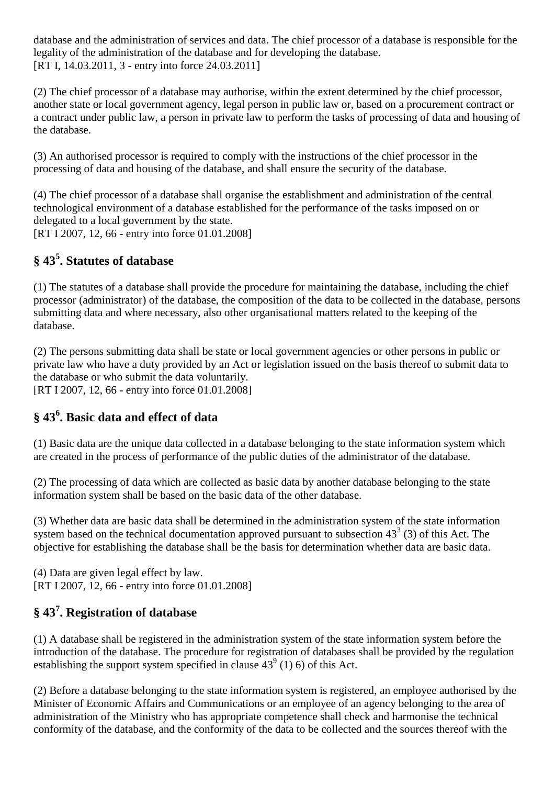database and the administration of services and data. The chief processor of a database is responsible for the legality of the administration of the database and for developing the database. [RT I, 14.03.2011, 3 - entry into force 24.03.2011]

(2) The chief processor of a database may authorise, within the extent determined by the chief processor, another state or local government agency, legal person in public law or, based on a procurement contract or a contract under public law, a person in private law to perform the tasks of processing of data and housing of the database.

(3) An authorised processor is required to comply with the instructions of the chief processor in the processing of data and housing of the database, and shall ensure the security of the database.

(4) The chief processor of a database shall organise the establishment and administration of the central technological environment of a database established for the performance of the tasks imposed on or delegated to a local government by the state. [RT I 2007, 12, 66 - entry into force 01.01.2008]

# **§ 43<sup>5</sup> . Statutes of database**

(1) The statutes of a database shall provide the procedure for maintaining the database, including the chief processor (administrator) of the database, the composition of the data to be collected in the database, persons submitting data and where necessary, also other organisational matters related to the keeping of the database.

(2) The persons submitting data shall be state or local government agencies or other persons in public or private law who have a duty provided by an Act or legislation issued on the basis thereof to submit data to the database or who submit the data voluntarily. [RT I 2007, 12, 66 - entry into force 01.01.2008]

#### **§ 43<sup>6</sup> . Basic data and effect of data**

(1) Basic data are the unique data collected in a database belonging to the state information system which are created in the process of performance of the public duties of the administrator of the database.

(2) The processing of data which are collected as basic data by another database belonging to the state information system shall be based on the basic data of the other database.

(3) Whether data are basic data shall be determined in the administration system of the state information system based on the technical documentation approved pursuant to subsection  $43<sup>3</sup>$  (3) of this Act. The objective for establishing the database shall be the basis for determination whether data are basic data.

(4) Data are given legal effect by law. [RT I 2007, 12, 66 - entry into force 01.01.2008]

# **§ 43<sup>7</sup> . Registration of database**

(1) A database shall be registered in the administration system of the state information system before the introduction of the database. The procedure for registration of databases shall be provided by the regulation establishing the support system specified in clause  $43^{\circ}$  (1) 6) of this Act.

(2) Before a database belonging to the state information system is registered, an employee authorised by the Minister of Economic Affairs and Communications or an employee of an agency belonging to the area of administration of the Ministry who has appropriate competence shall check and harmonise the technical conformity of the database, and the conformity of the data to be collected and the sources thereof with the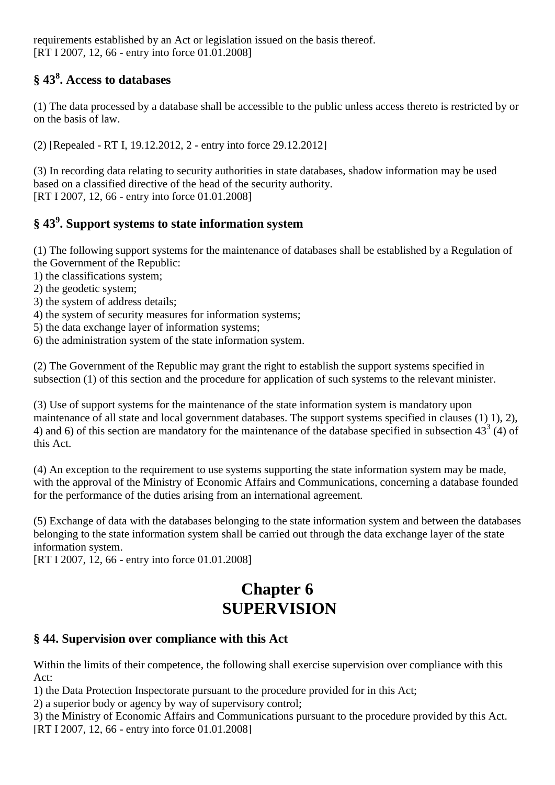requirements established by an Act or legislation issued on the basis thereof. [RT I 2007, 12, 66 - entry into force 01.01.2008]

# **§ 43<sup>8</sup> . Access to databases**

(1) The data processed by a database shall be accessible to the public unless access thereto is restricted by or on the basis of law.

(2) [Repealed - RT I, 19.12.2012, 2 - entry into force 29.12.2012]

(3) In recording data relating to security authorities in state databases, shadow information may be used based on a classified directive of the head of the security authority. [RT I 2007, 12, 66 - entry into force 01.01.2008]

# **§ 43<sup>9</sup> . Support systems to state information system**

(1) The following support systems for the maintenance of databases shall be established by a Regulation of the Government of the Republic:

- 1) the classifications system;
- 2) the geodetic system;
- 3) the system of address details;
- 4) the system of security measures for information systems;
- 5) the data exchange layer of information systems;
- 6) the administration system of the state information system.

(2) The Government of the Republic may grant the right to establish the support systems specified in subsection (1) of this section and the procedure for application of such systems to the relevant minister.

(3) Use of support systems for the maintenance of the state information system is mandatory upon maintenance of all state and local government databases. The support systems specified in clauses (1) 1), 2), 4) and 6) of this section are mandatory for the maintenance of the database specified in subsection  $43<sup>3</sup>$  (4) of this Act.

(4) An exception to the requirement to use systems supporting the state information system may be made, with the approval of the Ministry of Economic Affairs and Communications, concerning a database founded for the performance of the duties arising from an international agreement.

(5) Exchange of data with the databases belonging to the state information system and between the databases belonging to the state information system shall be carried out through the data exchange layer of the state information system.

[RT I 2007, 12, 66 - entry into force 01.01.2008]

# **Chapter 6 SUPERVISION**

#### **§ 44. Supervision over compliance with this Act**

Within the limits of their competence, the following shall exercise supervision over compliance with this Act:

1) the Data Protection Inspectorate pursuant to the procedure provided for in this Act;

2) a superior body or agency by way of supervisory control;

3) the Ministry of Economic Affairs and Communications pursuant to the procedure provided by this Act. [RT I 2007, 12, 66 - entry into force 01.01.2008]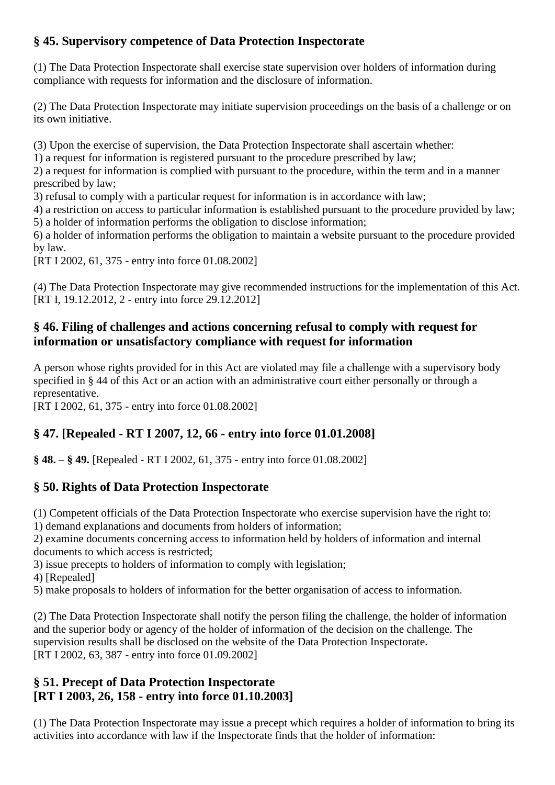### **§ 45. Supervisory competence of Data Protection Inspectorate**

(1) The Data Protection Inspectorate shall exercise state supervision over holders of information during compliance with requests for information and the disclosure of information.

(2) The Data Protection Inspectorate may initiate supervision proceedings on the basis of a challenge or on its own initiative.

(3) Upon the exercise of supervision, the Data Protection Inspectorate shall ascertain whether:

1) a request for information is registered pursuant to the procedure prescribed by law;

2) a request for information is complied with pursuant to the procedure, within the term and in a manner prescribed by law;

3) refusal to comply with a particular request for information is in accordance with law;

4) a restriction on access to particular information is established pursuant to the procedure provided by law; 5) a holder of information performs the obligation to disclose information;

6) a holder of information performs the obligation to maintain a website pursuant to the procedure provided by law.

[RT I 2002, 61, 375 - entry into force 01.08.2002]

(4) The Data Protection Inspectorate may give recommended instructions for the implementation of this Act. [RT I, 19.12.2012, 2 - entry into force 29.12.2012]

#### **§ 46. Filing of challenges and actions concerning refusal to comply with request for information or unsatisfactory compliance with request for information**

A person whose rights provided for in this Act are violated may file a challenge with a supervisory body specified in § 44 of this Act or an action with an administrative court either personally or through a representative.

[RT I 2002, 61, 375 - entry into force 01.08.2002]

# **§ 47. [Repealed - RT I 2007, 12, 66 - entry into force 01.01.2008]**

**§ 48. – § 49.** [Repealed - RT I 2002, 61, 375 - entry into force 01.08.2002]

# **§ 50. Rights of Data Protection Inspectorate**

(1) Competent officials of the Data Protection Inspectorate who exercise supervision have the right to:

1) demand explanations and documents from holders of information;

2) examine documents concerning access to information held by holders of information and internal documents to which access is restricted;

3) issue precepts to holders of information to comply with legislation;

4) [Repealed]

5) make proposals to holders of information for the better organisation of access to information.

(2) The Data Protection Inspectorate shall notify the person filing the challenge, the holder of information and the superior body or agency of the holder of information of the decision on the challenge. The supervision results shall be disclosed on the website of the Data Protection Inspectorate. [RT I 2002, 63, 387 - entry into force 01.09.2002]

#### **§ 51. Precept of Data Protection Inspectorate [RT I 2003, 26, 158 - entry into force 01.10.2003]**

(1) The Data Protection Inspectorate may issue a precept which requires a holder of information to bring its activities into accordance with law if the Inspectorate finds that the holder of information: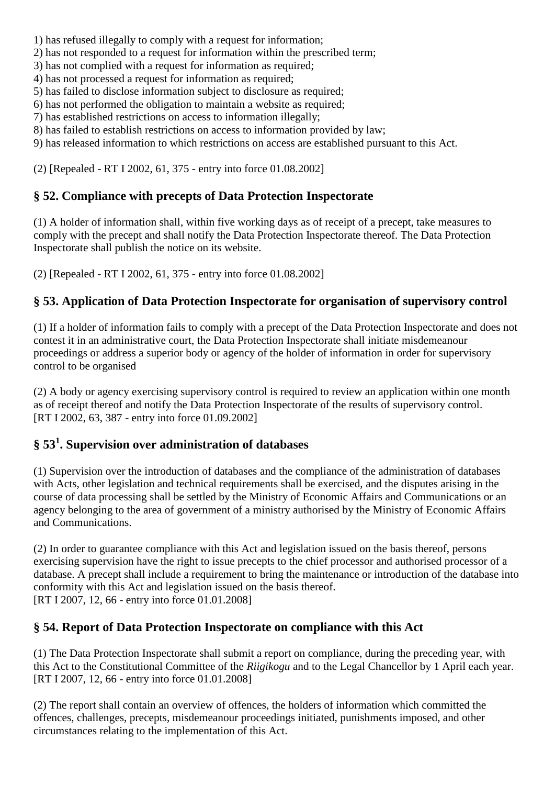- 1) has refused illegally to comply with a request for information;
- 2) has not responded to a request for information within the prescribed term;
- 3) has not complied with a request for information as required;
- 4) has not processed a request for information as required;
- 5) has failed to disclose information subject to disclosure as required;
- 6) has not performed the obligation to maintain a website as required;
- 7) has established restrictions on access to information illegally;
- 8) has failed to establish restrictions on access to information provided by law;
- 9) has released information to which restrictions on access are established pursuant to this Act.

(2) [Repealed - RT I 2002, 61, 375 - entry into force 01.08.2002]

#### **§ 52. Compliance with precepts of Data Protection Inspectorate**

(1) A holder of information shall, within five working days as of receipt of a precept, take measures to comply with the precept and shall notify the Data Protection Inspectorate thereof. The Data Protection Inspectorate shall publish the notice on its website.

(2) [Repealed - RT I 2002, 61, 375 - entry into force 01.08.2002]

### **§ 53. Application of Data Protection Inspectorate for organisation of supervisory control**

(1) If a holder of information fails to comply with a precept of the Data Protection Inspectorate and does not contest it in an administrative court, the Data Protection Inspectorate shall initiate misdemeanour proceedings or address a superior body or agency of the holder of information in order for supervisory control to be organised

(2) A body or agency exercising supervisory control is required to review an application within one month as of receipt thereof and notify the Data Protection Inspectorate of the results of supervisory control. [RT I 2002, 63, 387 - entry into force 01.09.2002]

#### **§ 53<sup>1</sup> . Supervision over administration of databases**

(1) Supervision over the introduction of databases and the compliance of the administration of databases with Acts, other legislation and technical requirements shall be exercised, and the disputes arising in the course of data processing shall be settled by the Ministry of Economic Affairs and Communications or an agency belonging to the area of government of a ministry authorised by the Ministry of Economic Affairs and Communications.

(2) In order to guarantee compliance with this Act and legislation issued on the basis thereof, persons exercising supervision have the right to issue precepts to the chief processor and authorised processor of a database. A precept shall include a requirement to bring the maintenance or introduction of the database into conformity with this Act and legislation issued on the basis thereof. [RT I 2007, 12, 66 - entry into force 01.01.2008]

#### **§ 54. Report of Data Protection Inspectorate on compliance with this Act**

(1) The Data Protection Inspectorate shall submit a report on compliance, during the preceding year, with this Act to the Constitutional Committee of the *Riigikogu* and to the Legal Chancellor by 1 April each year. [RT I 2007, 12, 66 - entry into force 01.01.2008]

(2) The report shall contain an overview of offences, the holders of information which committed the offences, challenges, precepts, misdemeanour proceedings initiated, punishments imposed, and other circumstances relating to the implementation of this Act.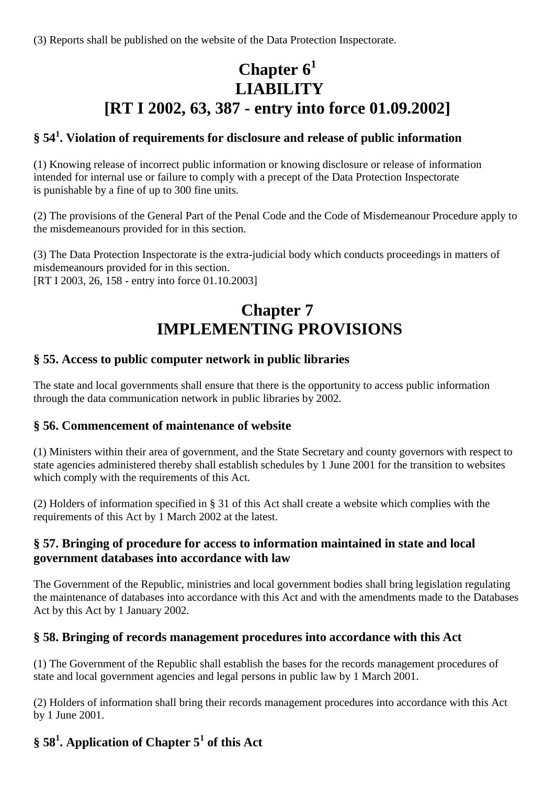(3) Reports shall be published on the website of the Data Protection Inspectorate.

# **Chapter 6<sup>1</sup> LIABILITY [RT I 2002, 63, 387 - entry into force 01.09.2002]**

#### **§ 54<sup>1</sup> . Violation of requirements for disclosure and release of public information**

(1) Knowing release of incorrect public information or knowing disclosure or release of information intended for internal use or failure to comply with a precept of the Data Protection Inspectorate is punishable by a fine of up to 300 fine units.

(2) The provisions of the General Part of the Penal Code and the Code of Misdemeanour Procedure apply to the misdemeanours provided for in this section.

(3) The Data Protection Inspectorate is the extra-judicial body which conducts proceedings in matters of misdemeanours provided for in this section. [RT I 2003, 26, 158 - entry into force 01.10.2003]

# **Chapter 7 IMPLEMENTING PROVISIONS**

#### **§ 55. Access to public computer network in public libraries**

The state and local governments shall ensure that there is the opportunity to access public information through the data communication network in public libraries by 2002.

#### **§ 56. Commencement of maintenance of website**

(1) Ministers within their area of government, and the State Secretary and county governors with respect to state agencies administered thereby shall establish schedules by 1 June 2001 for the transition to websites which comply with the requirements of this Act.

(2) Holders of information specified in § 31 of this Act shall create a website which complies with the requirements of this Act by 1 March 2002 at the latest.

#### **§ 57. Bringing of procedure for access to information maintained in state and local government databases into accordance with law**

The Government of the Republic, ministries and local government bodies shall bring legislation regulating the maintenance of databases into accordance with this Act and with the amendments made to the Databases Act by this Act by 1 January 2002.

#### **§ 58. Bringing of records management procedures into accordance with this Act**

(1) The Government of the Republic shall establish the bases for the records management procedures of state and local government agencies and legal persons in public law by 1 March 2001.

(2) Holders of information shall bring their records management procedures into accordance with this Act by 1 June 2001.

### **§ 58<sup>1</sup> . Application of Chapter 5<sup>1</sup> of this Act**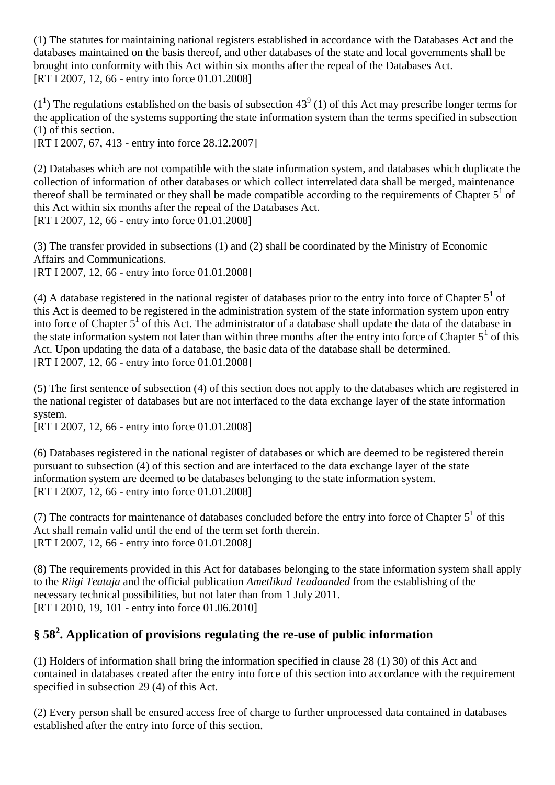(1) The statutes for maintaining national registers established in accordance with the Databases Act and the databases maintained on the basis thereof, and other databases of the state and local governments shall be brought into conformity with this Act within six months after the repeal of the Databases Act. [RT I 2007, 12, 66 - entry into force 01.01.2008]

 $(1<sup>1</sup>)$  The regulations established on the basis of subsection 43<sup>9</sup> (1) of this Act may prescribe longer terms for the application of the systems supporting the state information system than the terms specified in subsection (1) of this section.

[RT I 2007, 67, 413 - entry into force 28.12.2007]

(2) Databases which are not compatible with the state information system, and databases which duplicate the collection of information of other databases or which collect interrelated data shall be merged, maintenance thereof shall be terminated or they shall be made compatible according to the requirements of Chapter  $5<sup>1</sup>$  of this Act within six months after the repeal of the Databases Act. [RT I 2007, 12, 66 - entry into force 01.01.2008]

(3) The transfer provided in subsections (1) and (2) shall be coordinated by the Ministry of Economic Affairs and Communications. [RT I 2007, 12, 66 - entry into force 01.01.2008]

(4) A database registered in the national register of databases prior to the entry into force of Chapter  $5<sup>1</sup>$  of this Act is deemed to be registered in the administration system of the state information system upon entry into force of Chapter 5<sup>1</sup> of this Act. The administrator of a database shall update the data of the database in the state information system not later than within three months after the entry into force of Chapter  $5<sup>1</sup>$  of this Act. Upon updating the data of a database, the basic data of the database shall be determined. [RT I 2007, 12, 66 - entry into force 01.01.2008]

(5) The first sentence of subsection (4) of this section does not apply to the databases which are registered in the national register of databases but are not interfaced to the data exchange layer of the state information system.

[RT I 2007, 12, 66 - entry into force 01.01.2008]

(6) Databases registered in the national register of databases or which are deemed to be registered therein pursuant to subsection (4) of this section and are interfaced to the data exchange layer of the state information system are deemed to be databases belonging to the state information system. [RT I 2007, 12, 66 - entry into force 01.01.2008]

(7) The contracts for maintenance of databases concluded before the entry into force of Chapter  $5<sup>1</sup>$  of this Act shall remain valid until the end of the term set forth therein. [RT I 2007, 12, 66 - entry into force 01.01.2008]

(8) The requirements provided in this Act for databases belonging to the state information system shall apply to the *Riigi Teataja* and the official publication *Ametlikud Teadaanded* from the establishing of the necessary technical possibilities, but not later than from 1 July 2011. [RT I 2010, 19, 101 - entry into force 01.06.2010]

# **§ 58<sup>2</sup> . Application of provisions regulating the re-use of public information**

(1) Holders of information shall bring the information specified in clause 28 (1) 30) of this Act and contained in databases created after the entry into force of this section into accordance with the requirement specified in subsection 29 (4) of this Act.

(2) Every person shall be ensured access free of charge to further unprocessed data contained in databases established after the entry into force of this section.